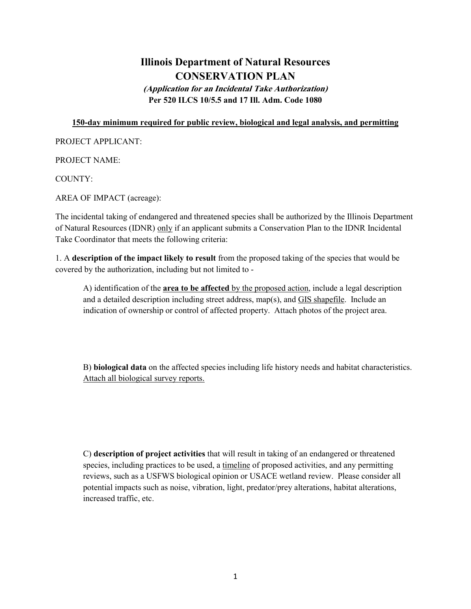## **Illinois Department of Natural Resources CONSERVATION PLAN**

**(Application for an Incidental Take Authorization) Per 520 ILCS 10/5.5 and 17 Ill. Adm. Code 1080**

## **150-day minimum required for public review, biological and legal analysis, and permitting**

PROJECT APPLICANT:

PROJECT NAME:

COUNTY:

AREA OF IMPACT (acreage):

The incidental taking of endangered and threatened species shall be authorized by the Illinois Department of Natural Resources (IDNR) only if an applicant submits a Conservation Plan to the IDNR Incidental Take Coordinator that meets the following criteria:

1. A **description of the impact likely to result** from the proposed taking of the species that would be covered by the authorization, including but not limited to -

A) identification of the **area to be affected** by the proposed action, include a legal description and a detailed description including street address, map(s), and GIS shapefile. Include an indication of ownership or control of affected property. Attach photos of the project area.

B) **biological data** on the affected species including life history needs and habitat characteristics. Attach all biological survey reports.

C) **description of project activities** that will result in taking of an endangered or threatened species, including practices to be used, a timeline of proposed activities, and any permitting reviews, such as a USFWS biological opinion or USACE wetland review. Please consider all potential impacts such as noise, vibration, light, predator/prey alterations, habitat alterations, increased traffic, etc.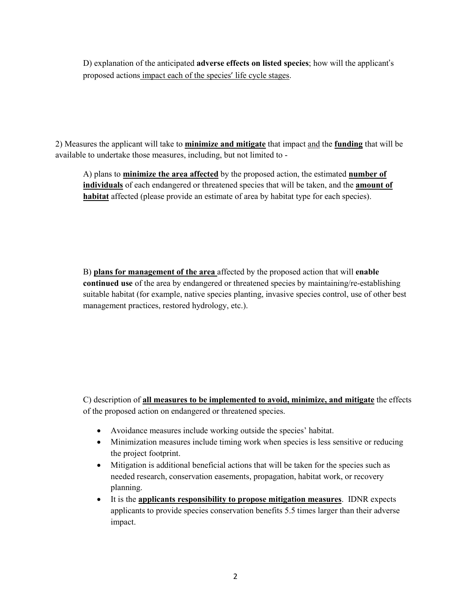D) explanation of the anticipated **adverse effects on listed species**; how will the applicant's proposed actions impact each of the species' life cycle stages.

2) Measures the applicant will take to **minimize and mitigate** that impact and the **funding** that will be available to undertake those measures, including, but not limited to -

A) plans to **minimize the area affected** by the proposed action, the estimated **number of individuals** of each endangered or threatened species that will be taken, and the **amount of habitat** affected (please provide an estimate of area by habitat type for each species).

B) **plans for management of the area** affected by the proposed action that will **enable continued use** of the area by endangered or threatened species by maintaining/re-establishing suitable habitat (for example, native species planting, invasive species control, use of other best management practices, restored hydrology, etc.).

C) description of **all measures to be implemented to avoid, minimize, and mitigate** the effects of the proposed action on endangered or threatened species.

- Avoidance measures include working outside the species' habitat.
- Minimization measures include timing work when species is less sensitive or reducing the project footprint.
- Mitigation is additional beneficial actions that will be taken for the species such as needed research, conservation easements, propagation, habitat work, or recovery planning.
- It is the **applicants responsibility to propose mitigation measures**. IDNR expects applicants to provide species conservation benefits 5.5 times larger than their adverse impact.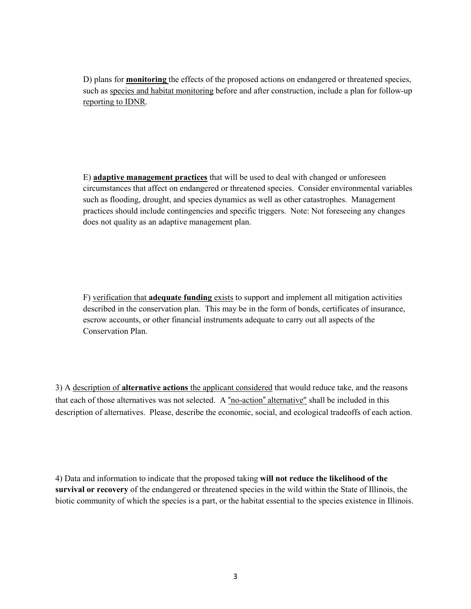D) plans for **monitoring** the effects of the proposed actions on endangered or threatened species, such as species and habitat monitoring before and after construction, include a plan for follow-up reporting to IDNR.

E) **adaptive management practices** that will be used to deal with changed or unforeseen circumstances that affect on endangered or threatened species. Consider environmental variables such as flooding, drought, and species dynamics as well as other catastrophes. Management practices should include contingencies and specific triggers. Note: Not foreseeing any changes does not quality as an adaptive management plan.

F) verification that **adequate funding** exists to support and implement all mitigation activities described in the conservation plan. This may be in the form of bonds, certificates of insurance, escrow accounts, or other financial instruments adequate to carry out all aspects of the Conservation Plan.

3) A description of **alternative actions** the applicant considered that would reduce take, and the reasons that each of those alternatives was not selected. A "no-action" alternative" shall be included in this description of alternatives. Please, describe the economic, social, and ecological tradeoffs of each action.

4) Data and information to indicate that the proposed taking **will not reduce the likelihood of the survival or recovery** of the endangered or threatened species in the wild within the State of Illinois, the biotic community of which the species is a part, or the habitat essential to the species existence in Illinois.